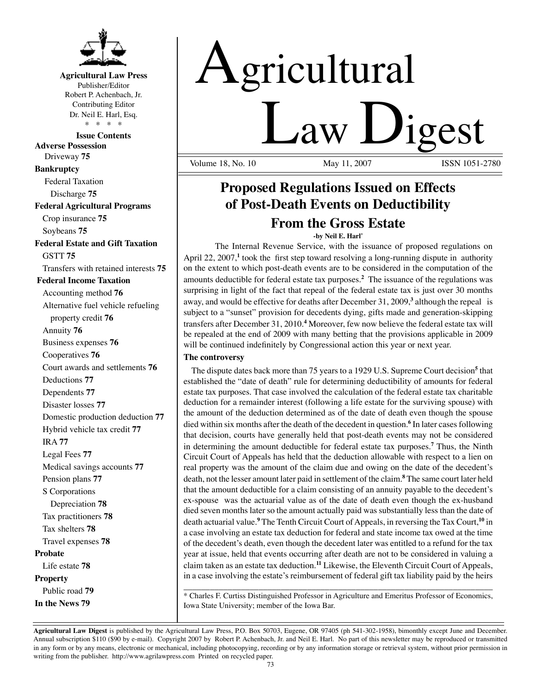

## **Agricultural Law Press**

Publisher/Editor Robert P. Achenbach, Jr. Contributing Editor Dr. Neil E. Harl, Esq. \* \* \* \*

**Issue Contents Adverse Possession** Driveway **75 Bankruptcy** Federal Taxation Discharge **75 Federal Agricultural Programs** Crop insurance **75**

Soybeans **75**

## **Federal Estate and Gift Taxation** GSTT **75**

Transfers with retained interests **75**

## **Federal Income Taxation**

Accounting method **76** Alternative fuel vehicle refueling property credit **76** Annuity **76** Business expenses **76** Cooperatives **76** Court awards and settlements **76** Deductions **77** Dependents **77** Disaster losses **77** Domestic production deduction **77** Hybrid vehicle tax credit **77** IRA **77** Legal Fees **77** Medical savings accounts **77** Pension plans **77** S Corporations Depreciation **78** Tax practitioners **78** Tax shelters **78** Travel expenses **78 Probate** Life estate **78 Property** Public road **79 In the News 79**

# Agricultural Law Digest

Volume 18, No. 10

# **Proposed Regulations Issued on Effects of Post-Death Events on Deductibility From the Gross Estate**

**-by Neil E. Harl\***

The Internal Revenue Service, with the issuance of proposed regulations on April 22, 2007,<sup>1</sup> took the first step toward resolving a long-running dispute in authority on the extent to which post-death events are to be considered in the computation of the amounts deductible for federal estate tax purposes.**<sup>2</sup>** The issuance of the regulations was surprising in light of the fact that repeal of the federal estate tax is just over 30 months away, and would be effective for deaths after December 31, 2009,**<sup>3</sup>** although the repeal is subject to a "sunset" provision for decedents dying, gifts made and generation-skipping transfers after December 31, 2010.**<sup>4</sup>** Moreover, few now believe the federal estate tax will be repealed at the end of 2009 with many betting that the provisions applicable in 2009 will be continued indefinitely by Congressional action this year or next year.

## **The controversy**

The dispute dates back more than 75 years to a 1929 U.S. Supreme Court decision**<sup>5</sup>** that established the "date of death" rule for determining deductibility of amounts for federal estate tax purposes. That case involved the calculation of the federal estate tax charitable deduction for a remainder interest (following a life estate for the surviving spouse) with the amount of the deduction determined as of the date of death even though the spouse died within six months after the death of the decedent in question.**<sup>6</sup>** In later cases following that decision, courts have generally held that post-death events may not be considered in determining the amount deductible for federal estate tax purposes.**<sup>7</sup>** Thus, the Ninth Circuit Court of Appeals has held that the deduction allowable with respect to a lien on real property was the amount of the claim due and owing on the date of the decedent's death, not the lesser amount later paid in settlement of the claim.**<sup>8</sup>** The same court later held that the amount deductible for a claim consisting of an annuity payable to the decedent's ex-spouse was the actuarial value as of the date of death even though the ex-husband died seven months later so the amount actually paid was substantially less than the date of death actuarial value.**<sup>9</sup>** The Tenth Circuit Court of Appeals, in reversing the Tax Court,**<sup>10</sup>** in a case involving an estate tax deduction for federal and state income tax owed at the time of the decedent's death, even though the decedent later was entitled to a refund for the tax year at issue, held that events occurring after death are not to be considered in valuing a claim taken as an estate tax deduction.**<sup>11</sup>** Likewise, the Eleventh Circuit Court of Appeals, in a case involving the estate's reimbursement of federal gift tax liability paid by the heirs

\_\_\_\_\_\_\_\_\_\_\_\_\_\_\_\_\_\_\_\_\_\_\_\_\_\_\_\_\_\_\_\_\_\_\_\_\_\_\_\_\_\_\_\_\_\_\_\_\_\_\_\_\_\_\_\_\_\_\_\_\_\_\_\_\_\_\_\_\_\_ \* Charles F. Curtiss Distinguished Professor in Agriculture and Emeritus Professor of Economics, Iowa State University; member of the Iowa Bar.

**Agricultural Law Digest** is published by the Agricultural Law Press, P.O. Box 50703, Eugene, OR 97405 (ph 541-302-1958), bimonthly except June and December. Annual subscription \$110 (\$90 by e-mail). Copyright 2007 by Robert P. Achenbach, Jr. and Neil E. Harl. No part of this newsletter may be reproduced or transmitted in any form or by any means, electronic or mechanical, including photocopying, recording or by any information storage or retrieval system, without prior permission in writing from the publisher. http://www.agrilawpress.com Printed on recycled paper.